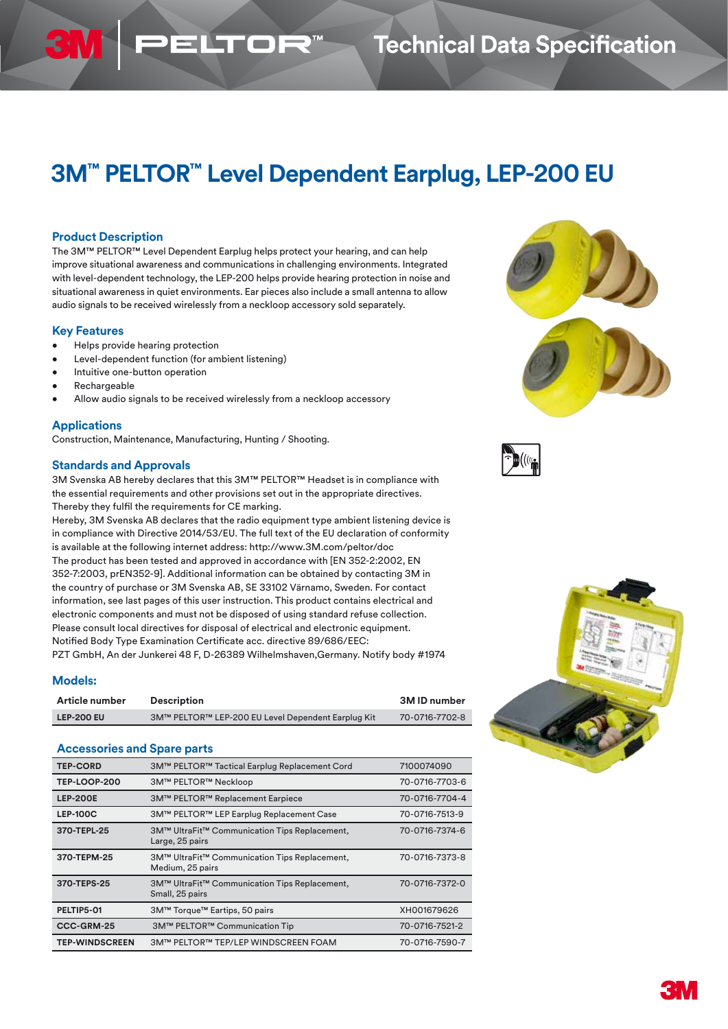# **3M™ PELTOR™ Level Dependent Earplug, LEP-200 EU**

## **Product Description**

The 3M™ PELTOR™ Level Dependent Earplug helps protect your hearing, and can help improve situational awareness and communications in challenging environments. Integrated with level-dependent technology, the LEP-200 helps provide hearing protection in noise and situational awareness in quiet environments. Ear pieces also include a small antenna to allow audio signals to be received wirelessly from a neckloop accessory sold separately.

PELTOF

## **Key Features**

- Helps provide hearing protection
- Level-dependent function (for ambient listening)
- Intuitive one-button operation
- **Rechargeable**
- Allow audio signals to be received wirelessly from a neckloop accessory

#### **Applications**

Construction, Maintenance, Manufacturing, Hunting / Shooting.

#### **Standards and Approvals**

3M Svenska AB hereby declares that this 3M™ PELTOR™ Headset is in compliance with the essential requirements and other provisions set out in the appropriate directives. Thereby they fulfil the requirements for CE marking.

Hereby, 3M Svenska AB declares that the radio equipment type ambient listening device is in compliance with Directive 2014/53/EU. The full text of the EU declaration of conformity is available at the following internet address: http://www.3M.com/peltor/doc The product has been tested and approved in accordance with [EN 352-2:2002, EN 352-7:2003, prEN352-9]. Additional information can be obtained by contacting 3M in the country of purchase or 3M Svenska AB, SE 33102 Värnamo, Sweden. For contact information, see last pages of this user instruction. This product contains electrical and electronic components and must not be disposed of using standard refuse collection. Please consult local directives for disposal of electrical and electronic equipment. Notified Body Type Examination Certificate acc. directive 89/686/EEC: PZT GmbH, An der Junkerei 48 F, D-26389 Wilhelmshaven,Germany. Notify body #1974

## **Models:**

| Article number<br><b>Description</b> |                                                    | 3M ID number   |  |
|--------------------------------------|----------------------------------------------------|----------------|--|
| <b>LEP-200 EU</b>                    | 3M™ PELTOR™ LEP-200 EU Level Dependent Earplug Kit | 70-0716-7702-8 |  |

#### **Accessories and Spare parts**

| <b>TEP-CORD</b>       | 3M™ PELTOR™ Tactical Earplug Replacement Cord                     | 7100074090     |
|-----------------------|-------------------------------------------------------------------|----------------|
| <b>TEP-LOOP-200</b>   | <b>3M™ PELTOR™ Neckloop</b>                                       | 70-0716-7703-6 |
| <b>LEP-200E</b>       | 3M™ PELTOR™ Replacement Earpiece                                  | 70-0716-7704-4 |
| <b>LEP-100C</b>       | 3M™ PELTOR™ LEP Earplug Replacement Case                          | 70-0716-7513-9 |
| 370-TEPL-25           | 3M™ UltraFit™ Communication Tips Replacement,<br>Large, 25 pairs  | 70-0716-7374-6 |
| 370-TEPM-25           | 3M™ UltraFit™ Communication Tips Replacement,<br>Medium, 25 pairs | 70-0716-7373-8 |
| 370-TEPS-25           | 3M™ UltraFit™ Communication Tips Replacement,<br>Small, 25 pairs  | 70-0716-7372-0 |
| PELTIP5-01            | 3M™ Torque™ Eartips, 50 pairs                                     | XH001679626    |
| CCC-GRM-25            | 3M™ PELTOR™ Communication Tip                                     | 70-0716-7521-2 |
| <b>TEP-WINDSCREEN</b> | 3M™ PELTOR™ TEP/LEP WINDSCREEN FOAM                               | 70-0716-7590-7 |
|                       |                                                                   |                |